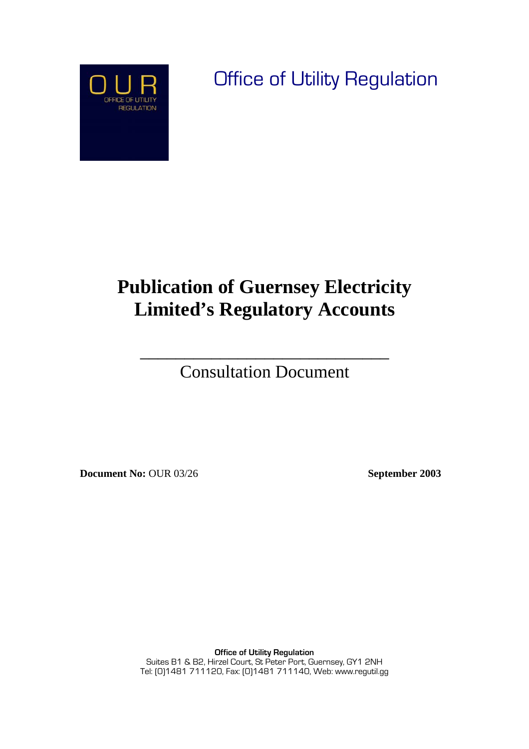

Office of Utility Regulation

# **Publication of Guernsey Electricity Limited's Regulatory Accounts**

Consultation Document

 $\overline{\phantom{a}}$  , where  $\overline{\phantom{a}}$  , where  $\overline{\phantom{a}}$  , where  $\overline{\phantom{a}}$  , where  $\overline{\phantom{a}}$ 

**Document No:** OUR 03/26 **September 2003** 

**Office of Utility Regulation** Suites B1 & B2, Hirzel Court, St Peter Port, Guernsey, GY1 2NH Tel: (0)1481 711120, Fax: (0)1481 711140, Web: www.regutil.gg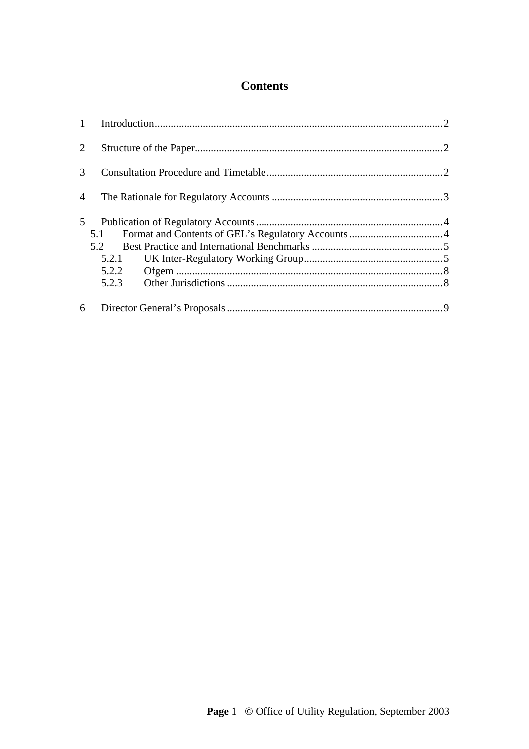# **Contents**

| 2              |       |  |  |
|----------------|-------|--|--|
| $\mathcal{F}$  |       |  |  |
| $\overline{A}$ |       |  |  |
| 5              |       |  |  |
|                | 5.1   |  |  |
|                | 5.2   |  |  |
|                | 5.2.1 |  |  |
|                | 5.2.2 |  |  |
|                | 5.2.3 |  |  |
| 6              |       |  |  |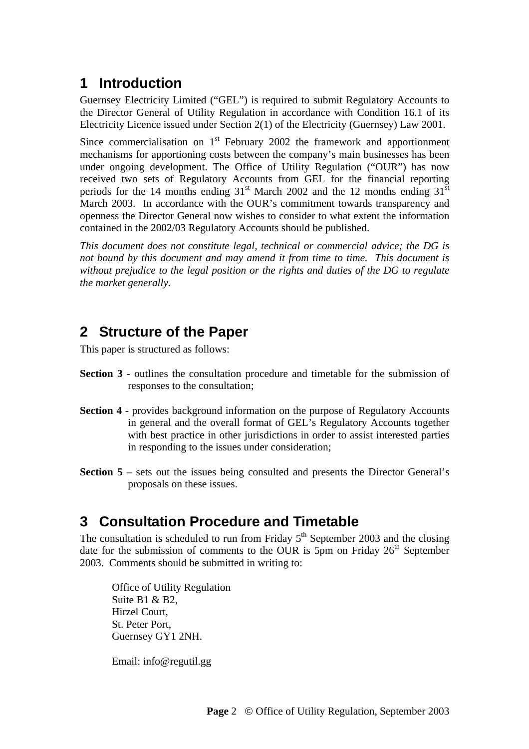# **1 Introduction**

Guernsey Electricity Limited ("GEL") is required to submit Regulatory Accounts to the Director General of Utility Regulation in accordance with Condition 16.1 of its Electricity Licence issued under Section 2(1) of the Electricity (Guernsey) Law 2001.

Since commercialisation on  $1<sup>st</sup>$  February 2002 the framework and apportionment mechanisms for apportioning costs between the company's main businesses has been under ongoing development. The Office of Utility Regulation ("OUR") has now received two sets of Regulatory Accounts from GEL for the financial reporting periods for the 14 months ending  $31<sup>st</sup>$  March 2002 and the 12 months ending  $31<sup>st</sup>$ March 2003. In accordance with the OUR's commitment towards transparency and openness the Director General now wishes to consider to what extent the information contained in the 2002/03 Regulatory Accounts should be published.

*This document does not constitute legal, technical or commercial advice; the DG is not bound by this document and may amend it from time to time. This document is without prejudice to the legal position or the rights and duties of the DG to regulate the market generally.* 

## **2 Structure of the Paper**

This paper is structured as follows:

- **Section 3** outlines the consultation procedure and timetable for the submission of responses to the consultation;
- **Section 4** provides background information on the purpose of Regulatory Accounts in general and the overall format of GEL's Regulatory Accounts together with best practice in other jurisdictions in order to assist interested parties in responding to the issues under consideration;
- **Section 5** sets out the issues being consulted and presents the Director General's proposals on these issues.

## **3 Consultation Procedure and Timetable**

The consultation is scheduled to run from Friday  $5<sup>th</sup>$  September 2003 and the closing date for the submission of comments to the OUR is 5pm on Friday  $26<sup>th</sup>$  September 2003. Comments should be submitted in writing to:

Office of Utility Regulation Suite B1 & B2, Hirzel Court, St. Peter Port, Guernsey GY1 2NH.

Email: info@regutil.gg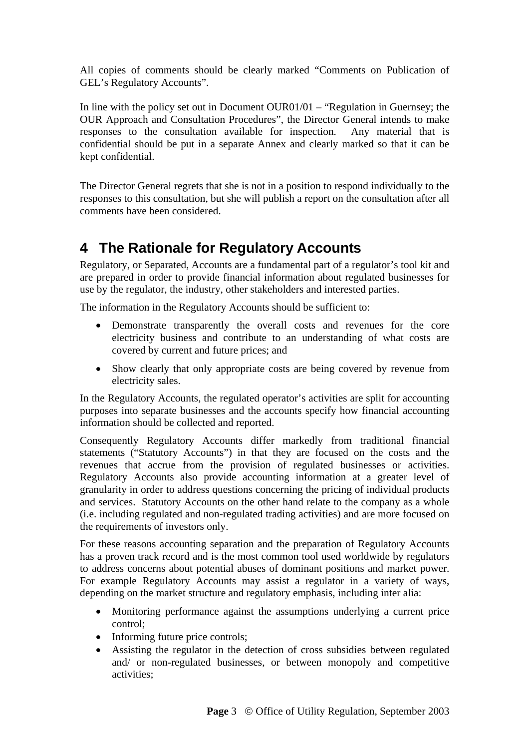All copies of comments should be clearly marked "Comments on Publication of GEL's Regulatory Accounts".

In line with the policy set out in Document OUR01/01 – "Regulation in Guernsey; the OUR Approach and Consultation Procedures", the Director General intends to make responses to the consultation available for inspection. Any material that is confidential should be put in a separate Annex and clearly marked so that it can be kept confidential.

The Director General regrets that she is not in a position to respond individually to the responses to this consultation, but she will publish a report on the consultation after all comments have been considered.

## **4 The Rationale for Regulatory Accounts**

Regulatory, or Separated, Accounts are a fundamental part of a regulator's tool kit and are prepared in order to provide financial information about regulated businesses for use by the regulator, the industry, other stakeholders and interested parties.

The information in the Regulatory Accounts should be sufficient to:

- Demonstrate transparently the overall costs and revenues for the core electricity business and contribute to an understanding of what costs are covered by current and future prices; and
- Show clearly that only appropriate costs are being covered by revenue from electricity sales.

In the Regulatory Accounts, the regulated operator's activities are split for accounting purposes into separate businesses and the accounts specify how financial accounting information should be collected and reported.

Consequently Regulatory Accounts differ markedly from traditional financial statements ("Statutory Accounts") in that they are focused on the costs and the revenues that accrue from the provision of regulated businesses or activities. Regulatory Accounts also provide accounting information at a greater level of granularity in order to address questions concerning the pricing of individual products and services. Statutory Accounts on the other hand relate to the company as a whole (i.e. including regulated and non-regulated trading activities) and are more focused on the requirements of investors only.

For these reasons accounting separation and the preparation of Regulatory Accounts has a proven track record and is the most common tool used worldwide by regulators to address concerns about potential abuses of dominant positions and market power. For example Regulatory Accounts may assist a regulator in a variety of ways, depending on the market structure and regulatory emphasis, including inter alia:

- Monitoring performance against the assumptions underlying a current price control;
- Informing future price controls;
- Assisting the regulator in the detection of cross subsidies between regulated and/ or non-regulated businesses, or between monopoly and competitive activities;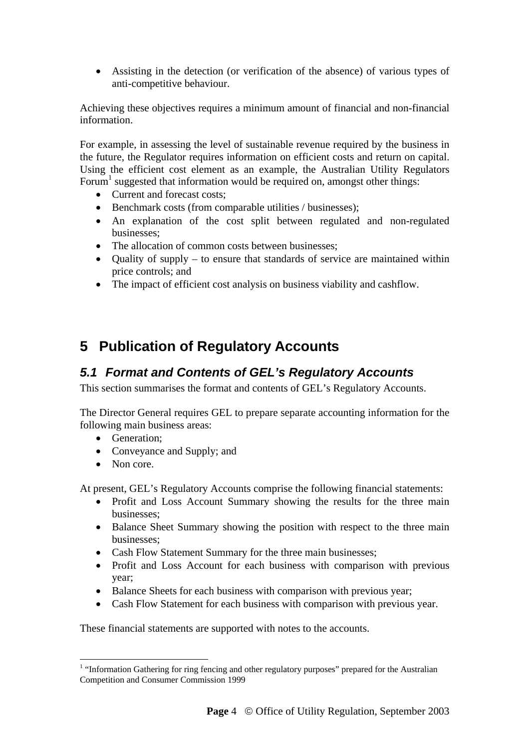• Assisting in the detection (or verification of the absence) of various types of anti-competitive behaviour.

Achieving these objectives requires a minimum amount of financial and non-financial information.

For example, in assessing the level of sustainable revenue required by the business in the future, the Regulator requires information on efficient costs and return on capital. Using the efficient cost element as an example, the Australian Utility Regulators Forum<sup>1</sup> suggested that information would be required on, amongst other things:

- Current and forecast costs:
- Benchmark costs (from comparable utilities / businesses);
- An explanation of the cost split between regulated and non-regulated businesses;
- The allocation of common costs between businesses:
- Quality of supply to ensure that standards of service are maintained within price controls; and
- The impact of efficient cost analysis on business viability and cashflow.

# **5 Publication of Regulatory Accounts**

## *5.1 Format and Contents of GEL's Regulatory Accounts*

This section summarises the format and contents of GEL's Regulatory Accounts.

The Director General requires GEL to prepare separate accounting information for the following main business areas:

- Generation:
- Conveyance and Supply; and
- Non core.

At present, GEL's Regulatory Accounts comprise the following financial statements:

- Profit and Loss Account Summary showing the results for the three main businesses;
- Balance Sheet Summary showing the position with respect to the three main businesses;
- Cash Flow Statement Summary for the three main businesses;
- Profit and Loss Account for each business with comparison with previous year;
- Balance Sheets for each business with comparison with previous year;
- Cash Flow Statement for each business with comparison with previous year.

These financial statements are supported with notes to the accounts.

 $\overline{a}$ <sup>1</sup> "Information Gathering for ring fencing and other regulatory purposes" prepared for the Australian Competition and Consumer Commission 1999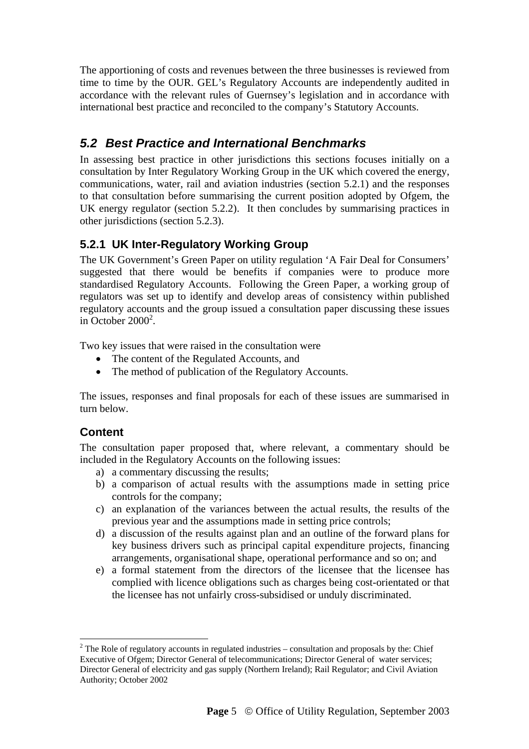The apportioning of costs and revenues between the three businesses is reviewed from time to time by the OUR. GEL's Regulatory Accounts are independently audited in accordance with the relevant rules of Guernsey's legislation and in accordance with international best practice and reconciled to the company's Statutory Accounts.

## *5.2 Best Practice and International Benchmarks*

In assessing best practice in other jurisdictions this sections focuses initially on a consultation by Inter Regulatory Working Group in the UK which covered the energy, communications, water, rail and aviation industries (section 5.2.1) and the responses to that consultation before summarising the current position adopted by Ofgem, the UK energy regulator (section 5.2.2). It then concludes by summarising practices in other jurisdictions (section 5.2.3).

## **5.2.1 UK Inter-Regulatory Working Group**

The UK Government's Green Paper on utility regulation 'A Fair Deal for Consumers' suggested that there would be benefits if companies were to produce more standardised Regulatory Accounts. Following the Green Paper, a working group of regulators was set up to identify and develop areas of consistency within published regulatory accounts and the group issued a consultation paper discussing these issues in October  $2000^2$ .

Two key issues that were raised in the consultation were

- The content of the Regulated Accounts, and
- The method of publication of the Regulatory Accounts.

The issues, responses and final proposals for each of these issues are summarised in turn below.

## **Content**

 $\overline{a}$ 

The consultation paper proposed that, where relevant, a commentary should be included in the Regulatory Accounts on the following issues:

- a) a commentary discussing the results;
- b) a comparison of actual results with the assumptions made in setting price controls for the company;
- c) an explanation of the variances between the actual results, the results of the previous year and the assumptions made in setting price controls;
- d) a discussion of the results against plan and an outline of the forward plans for key business drivers such as principal capital expenditure projects, financing arrangements, organisational shape, operational performance and so on; and
- e) a formal statement from the directors of the licensee that the licensee has complied with licence obligations such as charges being cost-orientated or that the licensee has not unfairly cross-subsidised or unduly discriminated.

 $2^2$  The Role of regulatory accounts in regulated industries – consultation and proposals by the: Chief Executive of Ofgem; Director General of telecommunications; Director General of water services; Director General of electricity and gas supply (Northern Ireland); Rail Regulator; and Civil Aviation Authority; October 2002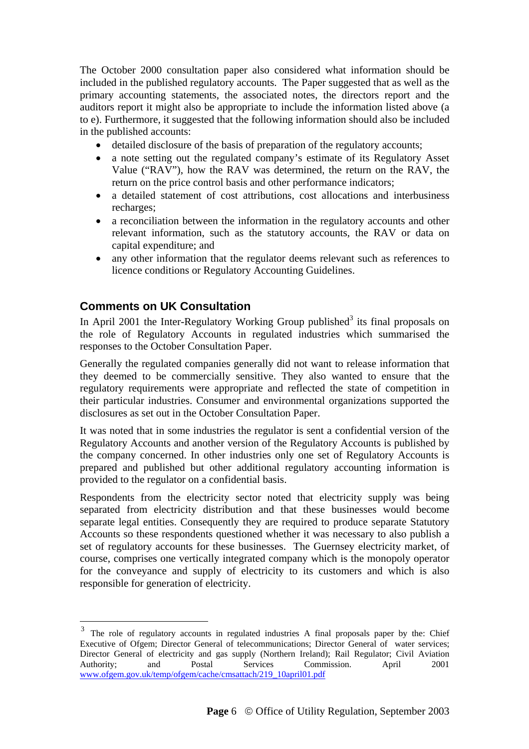The October 2000 consultation paper also considered what information should be included in the published regulatory accounts. The Paper suggested that as well as the primary accounting statements, the associated notes, the directors report and the auditors report it might also be appropriate to include the information listed above (a to e). Furthermore, it suggested that the following information should also be included in the published accounts:

- detailed disclosure of the basis of preparation of the regulatory accounts;
- a note setting out the regulated company's estimate of its Regulatory Asset Value ("RAV"), how the RAV was determined, the return on the RAV, the return on the price control basis and other performance indicators;
- a detailed statement of cost attributions, cost allocations and interbusiness recharges;
- a reconciliation between the information in the regulatory accounts and other relevant information, such as the statutory accounts, the RAV or data on capital expenditure; and
- any other information that the regulator deems relevant such as references to licence conditions or Regulatory Accounting Guidelines.

#### **Comments on UK Consultation**

 $\overline{a}$ 

In April 2001 the Inter-Regulatory Working Group published<sup>3</sup> its final proposals on the role of Regulatory Accounts in regulated industries which summarised the responses to the October Consultation Paper.

Generally the regulated companies generally did not want to release information that they deemed to be commercially sensitive. They also wanted to ensure that the regulatory requirements were appropriate and reflected the state of competition in their particular industries. Consumer and environmental organizations supported the disclosures as set out in the October Consultation Paper.

It was noted that in some industries the regulator is sent a confidential version of the Regulatory Accounts and another version of the Regulatory Accounts is published by the company concerned. In other industries only one set of Regulatory Accounts is prepared and published but other additional regulatory accounting information is provided to the regulator on a confidential basis.

Respondents from the electricity sector noted that electricity supply was being separated from electricity distribution and that these businesses would become separate legal entities. Consequently they are required to produce separate Statutory Accounts so these respondents questioned whether it was necessary to also publish a set of regulatory accounts for these businesses. The Guernsey electricity market, of course, comprises one vertically integrated company which is the monopoly operator for the conveyance and supply of electricity to its customers and which is also responsible for generation of electricity.

<sup>3</sup> The role of regulatory accounts in regulated industries A final proposals paper by the: Chief Executive of Ofgem; Director General of telecommunications; Director General of water services; Director General of electricity and gas supply (Northern Ireland); Rail Regulator; Civil Aviation Authority; and Postal Services Commission. April 2001 www.ofgem.gov.uk/temp/ofgem/cache/cmsattach/219\_10april01.pdf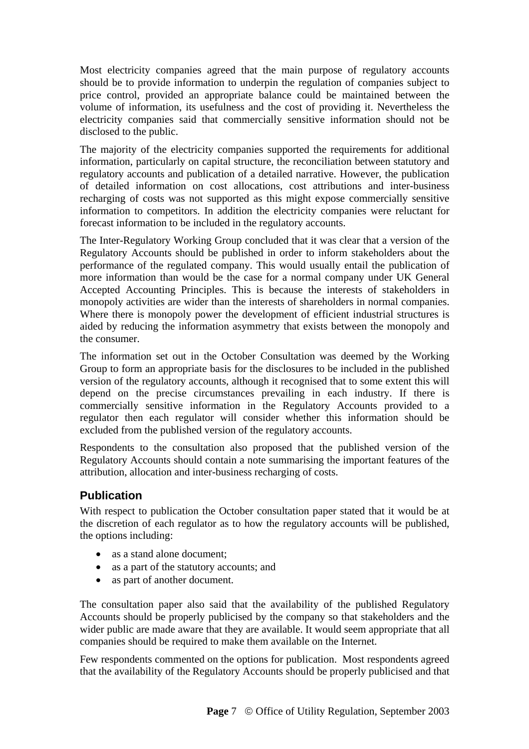Most electricity companies agreed that the main purpose of regulatory accounts should be to provide information to underpin the regulation of companies subject to price control, provided an appropriate balance could be maintained between the volume of information, its usefulness and the cost of providing it. Nevertheless the electricity companies said that commercially sensitive information should not be disclosed to the public.

The majority of the electricity companies supported the requirements for additional information, particularly on capital structure, the reconciliation between statutory and regulatory accounts and publication of a detailed narrative. However, the publication of detailed information on cost allocations, cost attributions and inter-business recharging of costs was not supported as this might expose commercially sensitive information to competitors. In addition the electricity companies were reluctant for forecast information to be included in the regulatory accounts.

The Inter-Regulatory Working Group concluded that it was clear that a version of the Regulatory Accounts should be published in order to inform stakeholders about the performance of the regulated company. This would usually entail the publication of more information than would be the case for a normal company under UK General Accepted Accounting Principles. This is because the interests of stakeholders in monopoly activities are wider than the interests of shareholders in normal companies. Where there is monopoly power the development of efficient industrial structures is aided by reducing the information asymmetry that exists between the monopoly and the consumer.

The information set out in the October Consultation was deemed by the Working Group to form an appropriate basis for the disclosures to be included in the published version of the regulatory accounts, although it recognised that to some extent this will depend on the precise circumstances prevailing in each industry. If there is commercially sensitive information in the Regulatory Accounts provided to a regulator then each regulator will consider whether this information should be excluded from the published version of the regulatory accounts.

Respondents to the consultation also proposed that the published version of the Regulatory Accounts should contain a note summarising the important features of the attribution, allocation and inter-business recharging of costs.

## **Publication**

With respect to publication the October consultation paper stated that it would be at the discretion of each regulator as to how the regulatory accounts will be published, the options including:

- as a stand alone document:
- as a part of the statutory accounts; and
- as part of another document.

The consultation paper also said that the availability of the published Regulatory Accounts should be properly publicised by the company so that stakeholders and the wider public are made aware that they are available. It would seem appropriate that all companies should be required to make them available on the Internet.

Few respondents commented on the options for publication. Most respondents agreed that the availability of the Regulatory Accounts should be properly publicised and that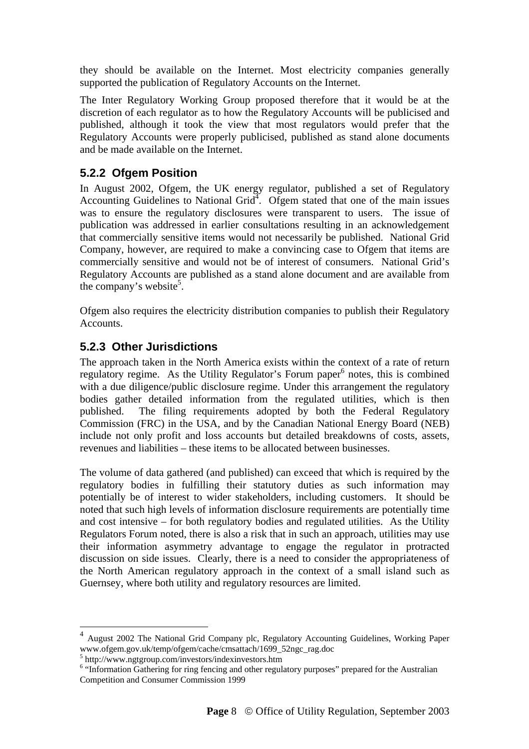they should be available on the Internet. Most electricity companies generally supported the publication of Regulatory Accounts on the Internet.

The Inter Regulatory Working Group proposed therefore that it would be at the discretion of each regulator as to how the Regulatory Accounts will be publicised and published, although it took the view that most regulators would prefer that the Regulatory Accounts were properly publicised, published as stand alone documents and be made available on the Internet.

## **5.2.2 Ofgem Position**

In August 2002, Ofgem, the UK energy regulator, published a set of Regulatory Accounting Guidelines to National Grid<sup>4</sup>. Ofgem stated that one of the main issues was to ensure the regulatory disclosures were transparent to users. The issue of publication was addressed in earlier consultations resulting in an acknowledgement that commercially sensitive items would not necessarily be published. National Grid Company, however, are required to make a convincing case to Ofgem that items are commercially sensitive and would not be of interest of consumers. National Grid's Regulatory Accounts are published as a stand alone document and are available from the company's website<sup>5</sup>.

Ofgem also requires the electricity distribution companies to publish their Regulatory Accounts.

#### **5.2.3 Other Jurisdictions**

The approach taken in the North America exists within the context of a rate of return regulatory regime. As the Utility Regulator's Forum paper<sup>6</sup> notes, this is combined with a due diligence/public disclosure regime. Under this arrangement the regulatory bodies gather detailed information from the regulated utilities, which is then published. The filing requirements adopted by both the Federal Regulatory Commission (FRC) in the USA, and by the Canadian National Energy Board (NEB) include not only profit and loss accounts but detailed breakdowns of costs, assets, revenues and liabilities – these items to be allocated between businesses.

The volume of data gathered (and published) can exceed that which is required by the regulatory bodies in fulfilling their statutory duties as such information may potentially be of interest to wider stakeholders, including customers. It should be noted that such high levels of information disclosure requirements are potentially time and cost intensive – for both regulatory bodies and regulated utilities. As the Utility Regulators Forum noted, there is also a risk that in such an approach, utilities may use their information asymmetry advantage to engage the regulator in protracted discussion on side issues. Clearly, there is a need to consider the appropriateness of the North American regulatory approach in the context of a small island such as Guernsey, where both utility and regulatory resources are limited.

 $\overline{a}$ 

<sup>4</sup> August 2002 The National Grid Company plc, Regulatory Accounting Guidelines, Working Paper www.ofgem.gov.uk/temp/ofgem/cache/cmsattach/1699\_52ngc\_rag.doc

<sup>&</sup>lt;sup>5</sup> http://www.ngtgroup.com/investors/indexinvestors.htm

<sup>&</sup>quot;Information Gathering for ring fencing and other regulatory purposes" prepared for the Australian Competition and Consumer Commission 1999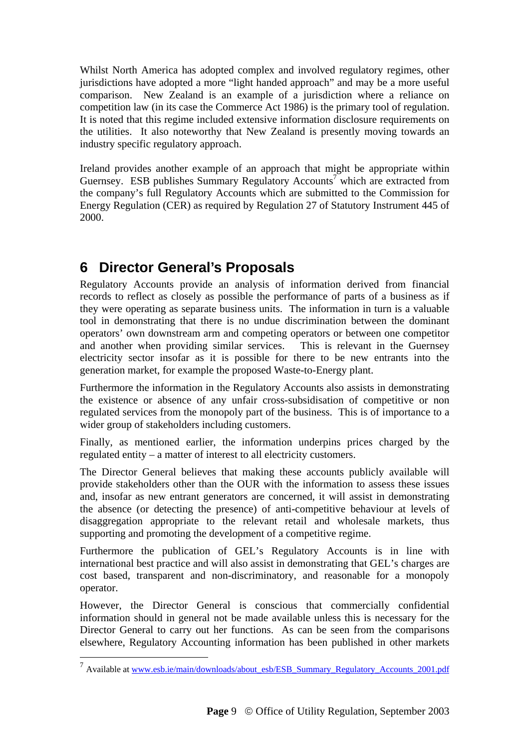Whilst North America has adopted complex and involved regulatory regimes, other jurisdictions have adopted a more "light handed approach" and may be a more useful comparison. New Zealand is an example of a jurisdiction where a reliance on competition law (in its case the Commerce Act 1986) is the primary tool of regulation. It is noted that this regime included extensive information disclosure requirements on the utilities. It also noteworthy that New Zealand is presently moving towards an industry specific regulatory approach.

Ireland provides another example of an approach that might be appropriate within Guernsey. ESB publishes Summary Regulatory Accounts<sup>7</sup> which are extracted from the company's full Regulatory Accounts which are submitted to the Commission for Energy Regulation (CER) as required by Regulation 27 of Statutory Instrument 445 of 2000.

# **6 Director General's Proposals**

 $\overline{a}$ 

Regulatory Accounts provide an analysis of information derived from financial records to reflect as closely as possible the performance of parts of a business as if they were operating as separate business units. The information in turn is a valuable tool in demonstrating that there is no undue discrimination between the dominant operators' own downstream arm and competing operators or between one competitor and another when providing similar services. This is relevant in the Guernsey electricity sector insofar as it is possible for there to be new entrants into the generation market, for example the proposed Waste-to-Energy plant.

Furthermore the information in the Regulatory Accounts also assists in demonstrating the existence or absence of any unfair cross-subsidisation of competitive or non regulated services from the monopoly part of the business. This is of importance to a wider group of stakeholders including customers.

Finally, as mentioned earlier, the information underpins prices charged by the regulated entity – a matter of interest to all electricity customers.

The Director General believes that making these accounts publicly available will provide stakeholders other than the OUR with the information to assess these issues and, insofar as new entrant generators are concerned, it will assist in demonstrating the absence (or detecting the presence) of anti-competitive behaviour at levels of disaggregation appropriate to the relevant retail and wholesale markets, thus supporting and promoting the development of a competitive regime.

Furthermore the publication of GEL's Regulatory Accounts is in line with international best practice and will also assist in demonstrating that GEL's charges are cost based, transparent and non-discriminatory, and reasonable for a monopoly operator.

However, the Director General is conscious that commercially confidential information should in general not be made available unless this is necessary for the Director General to carry out her functions. As can be seen from the comparisons elsewhere, Regulatory Accounting information has been published in other markets

<sup>&</sup>lt;sup>7</sup> Available at www.esb.ie/main/downloads/about\_esb/ESB\_Summary\_Regulatory\_Accounts\_2001.pdf